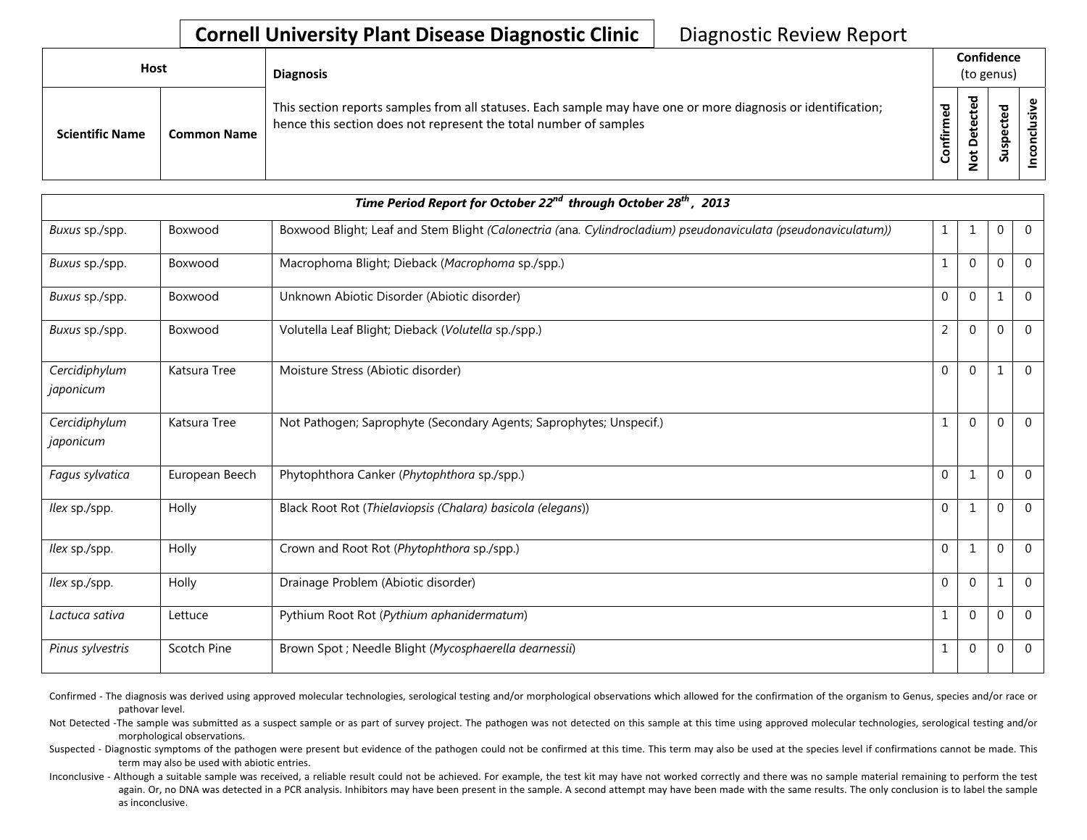## **Cornell University Plant Disease Diagnostic Clinic** | Diagnostic Review Report

| <b>Host</b>            |                    | <b>Diagnosis</b>                                                                                                                                                                   | Confidence<br>(to genus) |                                           |                                   |  |
|------------------------|--------------------|------------------------------------------------------------------------------------------------------------------------------------------------------------------------------------|--------------------------|-------------------------------------------|-----------------------------------|--|
| <b>Scientific Name</b> | <b>Common Name</b> | This section reports samples from all statuses. Each sample may have one or more diagnosis or identification;<br>hence this section does not represent the total number of samples | ဥ<br>٤<br>∸.<br>Confi    | ᅙ<br>e<br>C<br>ete<br>۵<br>پ<br>$\dot{S}$ | ਠ<br>ទី<br>ں<br>ω<br>௨<br>ഗ<br>ಀಁ |  |

| Time Period Report for October 22 <sup>nd</sup> through October 28 <sup>th</sup> , 2013 |                |                                                                                                                |                |                |                  |                |  |
|-----------------------------------------------------------------------------------------|----------------|----------------------------------------------------------------------------------------------------------------|----------------|----------------|------------------|----------------|--|
| Buxus sp./spp.                                                                          | Boxwood        | Boxwood Blight; Leaf and Stem Blight (Calonectria (ana. Cylindrocladium) pseudonaviculata (pseudonaviculatum)) | $\mathbf{1}$   | 1              | $\boldsymbol{0}$ | $\overline{0}$ |  |
| Buxus sp./spp.                                                                          | Boxwood        | Macrophoma Blight; Dieback (Macrophoma sp./spp.)                                                               | 1              | $\Omega$       | $\Omega$         | $\overline{0}$ |  |
| Buxus sp./spp.                                                                          | Boxwood        | Unknown Abiotic Disorder (Abiotic disorder)                                                                    | $\mathbf{0}$   | $\Omega$       | 1                | $\Omega$       |  |
| Buxus sp./spp.                                                                          | Boxwood        | Volutella Leaf Blight; Dieback (Volutella sp./spp.)                                                            | $\overline{2}$ | $\Omega$       | $\Omega$         | $\overline{0}$ |  |
| Cercidiphylum<br>japonicum                                                              | Katsura Tree   | Moisture Stress (Abiotic disorder)                                                                             | $\Omega$       | $\Omega$       | $\mathbf 1$      | $\overline{0}$ |  |
| Cercidiphylum<br>japonicum                                                              | Katsura Tree   | Not Pathogen; Saprophyte (Secondary Agents; Saprophytes; Unspecif.)                                            | 1              | $\overline{0}$ | $\mathbf{0}$     | $\overline{0}$ |  |
| Fagus sylvatica                                                                         | European Beech | Phytophthora Canker (Phytophthora sp./spp.)                                                                    | $\mathbf{0}$   | $\mathbf{1}$   | $\mathbf{0}$     | $\overline{0}$ |  |
| <i>llex</i> sp./spp.                                                                    | Holly          | Black Root Rot (Thielaviopsis (Chalara) basicola (elegans))                                                    | $\mathbf{0}$   | $\mathbf{1}$   | $\mathbf{0}$     | $\overline{0}$ |  |
| llex sp./spp.                                                                           | Holly          | Crown and Root Rot (Phytophthora sp./spp.)                                                                     | $\mathbf{0}$   | 1              | $\mathbf{0}$     | $\Omega$       |  |
| <i>llex</i> sp./spp.                                                                    | Holly          | Drainage Problem (Abiotic disorder)                                                                            | $\mathbf 0$    | 0              | 1                | $\overline{0}$ |  |
| Lactuca sativa                                                                          | Lettuce        | Pythium Root Rot (Pythium aphanidermatum)                                                                      | $\mathbf{1}$   | $\mathbf{0}$   | $\mathbf{0}$     | $\overline{0}$ |  |
| Pinus sylvestris                                                                        | Scotch Pine    | Brown Spot ; Needle Blight (Mycosphaerella dearnessii)                                                         |                | 0              | $\mathbf{0}$     | $\overline{0}$ |  |

Confirmed - The diagnosis was derived using approved molecular technologies, serological testing and/or morphological observations which allowed for the confirmation of the organism to Genus, species and/or race or pathovar level.

Not Detected -The sample was submitted as a suspect sample or as part of survey project. The pathogen was not detected on this sample at this time using approved molecular technologies, serological testing and/or morphological observations.

Suspected - Diagnostic symptoms of the pathogen were present but evidence of the pathogen could not be confirmed at this time. This term may also be used at the species level if confirmations cannot be made. This term may also be used with abiotic entries.

Inconclusive - Although a suitable sample was received, a reliable result could not be achieved. For example, the test kit may have not worked correctly and there was no sample material remaining to perform the test again. Or, no DNA was detected in a PCR analysis. Inhibitors may have been present in the sample. A second attempt may have been made with the same results. The only conclusion is to label the sample as inconclusive.